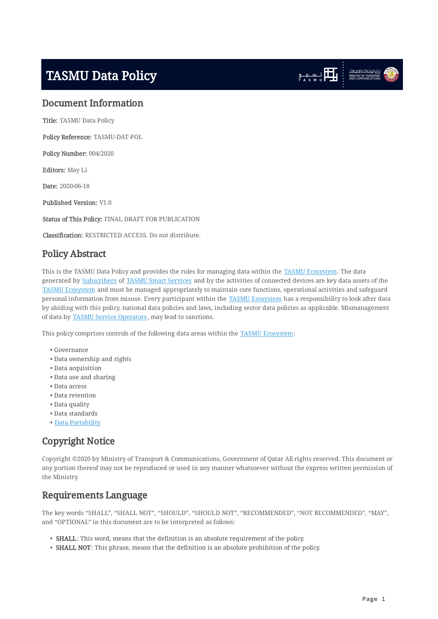# <span id="page-0-0"></span>TASMU Data Policy





# <span id="page-0-1"></span>Document Information

Title: TASMU Data Policy

Policy Reference: TASMU-DAT-POL

Policy Number: 004/2020

Editors: May Li

Date: 2020-06-18

Published Version: V1.0

Status of This Policy: FINAL DRAFT FOR PUBLICATION

Classification: RESTRICTED ACCESS. Do not distribute.

# <span id="page-0-2"></span>Policy Abstract

This is the TASMU Data Policy and provides the rules for managing data within the [TASMU Ecosystem.](#page-7-0) The data generated by [Subscribers](#page-6-0) of [TASMU Smart Services](#page-7-1) and by the activities of connected devices are key data assets of the [TASMU Ecosystem](#page-7-0) and must be managed appropriately to maintain core functions, operational activities and safeguard personal information from misuse. Every participant within the [TASMU Ecosystem](#page-7-0) has a responsibility to look after data by abiding with this policy, national data policies and laws, including sector data policies as applicable. Mismanagement of data by **TASMU Service Operators**, may lead to sanctions.

This policy comprises controls of the following data areas within the [TASMU Ecosystem](#page-7-0):

- Governance •
- Data ownership and rights
- Data acquisition •
- Data use and sharing •
- Data access •
- Data retention •
- Data quality •
- Data standards •
- <u>[Data Portability](#page-4-0)</u>

# <span id="page-0-3"></span>Copyright Notice

Copyright ©2020 by Ministry of Transport & Communications, Government of Qatar All rights reserved. This document or any portion thereof may not be reproduced or used in any manner whatsoever without the express written permission of the Ministry.

# <span id="page-0-4"></span>Requirements Language

The key words "SHALL", "SHALL NOT", "SHOULD", "SHOULD NOT", "RECOMMENDED", "NOT RECOMMENDED", "MAY", and "OPTIONAL" in this document are to be interpreted as follows:

- <span id="page-0-5"></span>• **SHALL**: This word, means that the definition is an absolute requirement of the policy.
- <span id="page-0-6"></span>• **SHALL NOT**: This phrase, means that the definition is an absolute prohibition of the policy.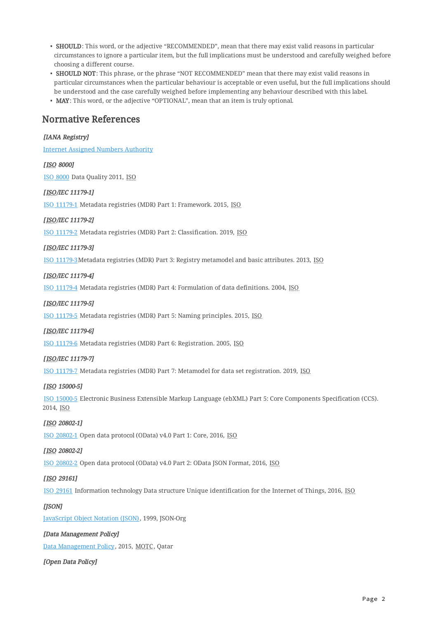- <span id="page-1-2"></span> $\bullet\,$  SHOULD: This word, or the adjective "RECOMMENDED", mean that there may exist valid reasons in particular circumstances to ignore a particular item, but the full implications must be understood and carefully weighed before choosing a different course.
- $\bullet \,$  SHOULD NOT: This phrase, or the phrase "NOT RECOMMENDED" mean that there may exist valid reasons in particular circumstances when the particular behaviour is acceptable or even useful, but the full implications should be understood and the case carefully weighed before implementing any behaviour described with this label.
- <span id="page-1-4"></span> $\bullet\,$  MAY: This word, or the adjective "OPTIONAL", mean that an item is truly optional.

# <span id="page-1-0"></span>Normative References

## <span id="page-1-18"></span>[IANA Registry]

[Internet Assigned Numbers Authority](https://www.iana.org/)

## <span id="page-1-5"></span>[ISO 8000]

[ISO 8000](https://www.iso.org/standard/50798.html) Data Quality 2011, ISO

## <span id="page-1-7"></span>[ISO/IEC 11179-1]

[ISO 11179-1](https://www.iso.org/standard/61932.html) Metadata registries (MDR) Part 1: Framework. 2015, ISO

#### <span id="page-1-8"></span>[ISO/IEC 11179-2]

[ISO 11179-2](https://www.iso.org/standard/74570.html) Metadata registries (MDR) Part 2: Classification. 2019, ISO

#### <span id="page-1-9"></span>[ISO/IEC 11179-3]

[ISO 11179-3](https://www.iso.org/standard/50340.html)Metadata registries (MDR) Part 3: Registry metamodel and basic attributes. 2013, ISO

#### <span id="page-1-10"></span>[ISO/IEC 11179-4]

[ISO 11179-4](https://www.iso.org/standard/35346.html) Metadata registries (MDR) Part 4: Formulation of data definitions. 2004, ISO

#### <span id="page-1-11"></span>[ISO/IEC 11179-5]

[ISO 11179-5](https://www.iso.org/standard/60341.html) Metadata registries (MDR) Part 5: Naming principles. 2015, ISO

#### <span id="page-1-12"></span>[ISO/IEC 11179-6]

[ISO 11179-6](https://www.iso.org/standard/35348.html) Metadata registries (MDR) Part 6: Registration. 2005, ISO

## <span id="page-1-13"></span>[ISO/IEC 11179-7]

[ISO 11179-7](https://www.iso.org/standard/68766.html) Metadata registries (MDR) Part 7: Metamodel for data set registration. 2019, ISO

#### <span id="page-1-6"></span>[ISO 15000-5]

[ISO 15000-5](https://www.iso.org/standard/61433.html) Electronic Business Extensible Markup Language (ebXML) Part 5: Core Components Specification (CCS). 2014, ISO

#### <span id="page-1-15"></span>[ISO 20802-1]

[ISO 20802-1](https://www.iso.org/standard/69208.html) Open data protocol (OData) v4.0 Part 1: Core, 2016, ISO

#### <span id="page-1-16"></span>[ISO 20802-2]

[ISO 20802-2](https://www.iso.org/standard/69209.html) Open data protocol (OData) v4.0 Part 2: OData JSON Format, 2016, ISO

#### <span id="page-1-14"></span>[ISO 29161]

[ISO 29161](https://www.iso.org/standard/45240.html) Information technology Data structure Unique identification for the Internet of Things, 2016, ISO

## <span id="page-1-17"></span>[*JSON]*

[JavaScript Object Notation \(JSON\)](https://www.json.org/json-en.html), 1999, JSON-Org

## <span id="page-1-3"></span>[Data Management Policy]

[Data Management Policy](https://www.motc.gov.qa/sites/default/files/data_management_policy.pdf), 2015, MOTC, Qatar

#### <span id="page-1-1"></span>[Open Data Policy]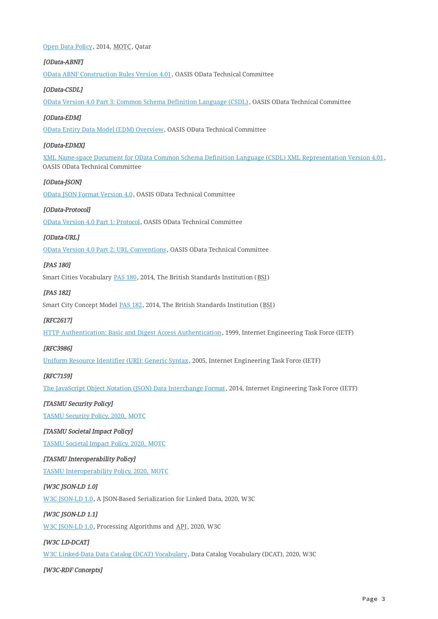#### [Open Data Policy](https://www.motc.gov.qa/sites/default/files/open_data_policy_0.pdf), 2014, MOTC, Qatar

#### <span id="page-2-9"></span>[OData-ABNF]

[OData ABNF Construction Rules Version 4.01,](https://www.odata.org/documentation/) OASIS OData Technical Committee

#### <span id="page-2-8"></span>[OData-CSDL]

[OData Version 4.0 Part 3: Common Schema Definition Language \(CSDL\),](https://www.odata.org/documentation/) OASIS OData Technical Committee

#### [OData-EDM]

[OData Entity Data Model \(EDM\) Overview](https://www.odata.org/documentation/), OASIS OData Technical Committee

#### [OData-EDMX]

[XML Name-space Document for OData Common Schema Definition Language \(CSDL\) XML Representation Version 4.01](http://docs.oasis-open.org/odata/odata/v4.0/odata-v4.0-part3-csdl.html), OASIS OData Technical Committee

#### [OData-JSON]

[OData JSON Format Version 4.0](https://www.odata.org/documentation/), OASIS OData Technical Committee

#### <span id="page-2-7"></span>[OData-Protocol]

[OData Version 4.0 Part 1: Protocol,](http://docs.oasis-open.org/odata/odata/v4.0/odata-v4.0-part1-protocol.html) OASIS OData Technical Committee

#### <span id="page-2-10"></span>[OData-URL]

[OData Version 4.0 Part 2: URL Conventions](https://www.odata.org/documentation/) , OASIS OData Technical Committee

#### <span id="page-2-3"></span>[PAS 180]

Smart Cities Vocabulary [PAS 180](https://shop.bsigroup.com/upload/PASs/Free-Download/PAS180.pdf), 2014, The British Standards Institution (BSI)

#### <span id="page-2-2"></span>[PAS 182]

Smart City Concept Model **PAS 182**, 2014, The British Standards Institution (BSI)

#### <span id="page-2-4"></span>[RFC2617]

[HTTP Authentication: Basic and Digest Access Authentication,](https://tools.ietf.org/html/rfc2617) 1999, Internet Engineering Task Force (IETF)

#### <span id="page-2-6"></span>[RFC3986]

[Uniform Resource Identifier \(URI\): Generic Syntax,](https://tools.ietf.org/html/rfc3986) 2005, Internet Engineering Task Force (IETF)

#### <span id="page-2-5"></span>[RFC7159]

[The JavaScript Object Notation \(JSON\) Data Interchange Format](https://tools.ietf.org/html/rfc7159), 2014, Internet Engineering Task Force (IETF)

#### <span id="page-2-0"></span>[TASMU Security Policy]

[TASMU Security Policy, 2020, MOTC](file:///home/faz/TiSync/tmp/TASMU/security/TASMU%20Security%20Policy%20v1.0.html)

#### [TASMU Societal Impact Policy]

[TASMU Societal Impact Policy, 2020, MOTC](file:///home/faz/TiSync/tmp/TASMU/society/TASMU%20Societal%20Impact%20Policy%20v1.0.html)

#### <span id="page-2-1"></span>[TASMU Interoperability Policy]

[TASMU Interoperability Policy, 2020, MOTC](file:///home/faz/TiSync/tmp/TASMU/interoperability/TASMU%20Interoperability%20Policy%20v1.0.html)

#### <span id="page-2-11"></span>[W3C JSON-LD 1.0]

[W3C JSON-LD 1.0](http://www.w3.org/TR/json-ld/), A JSON-Based Serialization for Linked Data, 2020, W3C

#### <span id="page-2-12"></span>[W3C JSON-LD 1.1]

[W3C JSON-LD 1.0](http://www.w3.org/TR/json-ld-api/), Processing Algorithms and API, 2020, W3C

#### <span id="page-2-14"></span>[W3C LD-DCAT]

[W3C Linked-Data Data Catalog \(DCAT\) Vocabulary](http://www.w3.org/TR/vocab-dcat/), Data Catalog Vocabulary (DCAT), 2020, W3C

#### <span id="page-2-13"></span>[W3C-RDF Concepts]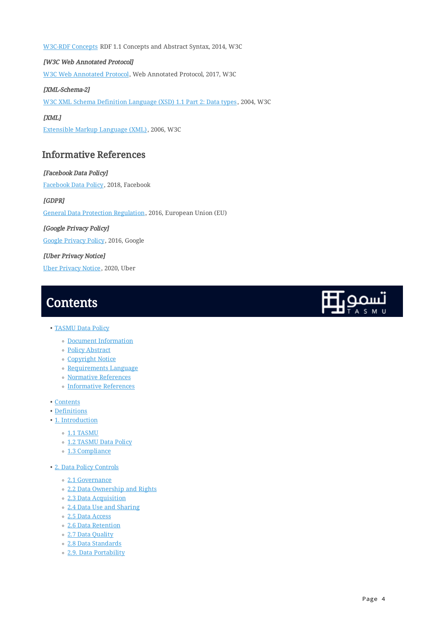[W3C-RDF Concepts](http://www.w3.org/TR/rdf11-concepts/) RDF 1.1 Concepts and Abstract Syntax, 2014, W3C

<span id="page-3-2"></span>[W3C Web Annotated Protocol] [W3C Web Annotated Protocol,](http://www.w3.org/TR/annotation-protocol/) Web Annotated Protocol, 2017, W3C

[XML-Schema-2] [W3C XML Schema Definition Language \(XSD\) 1.1 Part 2: Data types](https://www.w3.org/TR/xmlschema-2/), 2004, W3C

<span id="page-3-3"></span>[XML] [Extensible Markup Language \(XML\),](https://www.w3.org/TR/xml11//) 2006, W3C

# <span id="page-3-0"></span>Informative References

[Facebook Data Policy] [Facebook Data Policy](https://en-gb.facebook.com/policy.php), 2018, Facebook [GDPR] [General Data Protection Regulation,](https://gdpr-info.eu/) 2016, European Union (EU) [Google Privacy Policy] [Google Privacy Policy,](https://www.google.com/policies/privacy/archive/20160325-20160628/) 2016, Google [Uber Privacy Notice] [Uber Privacy Notice,](https://www.uber.com/legal/en/document/?country=united-states&lang=en&name=privacy-notice) 2020, Uber

# <span id="page-3-1"></span>**Contents**

- <u>[TASMU Data Policy](#page-0-0)</u>
	- [Document Information](#page-0-1)
	- [Policy Abstract](#page-0-2)
	- [Copyright Notice](#page-0-3) ◦
	- [Requirements Language](#page-0-4)
	- [Normative References](#page-1-0)
	- [Informative References](#page-3-0) ◦
- [Contents](#page-3-1)
- <u>[Definitions](#page-4-1)</u>
- [1. Introduction](#page-7-2)
	- ∘ [1.1 TASMU](#page-7-3)
	- [1.2 TASMU Data Policy](#page-8-0)
	- [1.3 Compliance](#page-10-0) ◦
- [2. Data Policy Controls](#page-10-1)
	- [2.1 Governance](#page-10-2) ◦
	- [2.2 Data Ownership and Rights](#page-11-0) ◦
	- [2.3 Data Acquisition](#page-12-0) ◦
	- [2.4 Data Use and Sharing](#page-12-1) ◦
	- [2.5 Data Access](#page-13-0) ◦
	- [2.6 Data Retention](#page-13-1) ◦
	- [2.7 Data Quality](#page-14-0) ◦
	- [2.8 Data Standards](#page-14-1) ◦
	- [2.9. Data Portability](#page-16-0) ◦

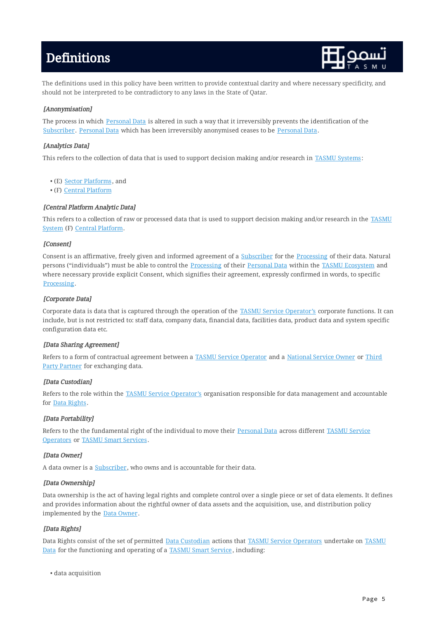# <span id="page-4-1"></span>**Definitions**



The definitions used in this policy have been written to provide contextual clarity and where necessary specificity, and should not be interpreted to be contradictory to any laws in the State of Qatar.

# <span id="page-4-10"></span>[Anonymisation]

The process in which [Personal Data](#page-6-1) is altered in such a way that it irreversibly prevents the identification of the [Subscriber](#page-6-0). [Personal Data](#page-6-1) which has been irreversibly anonymised ceases to be [Personal Data.](#page-6-1)

## <span id="page-4-5"></span>[Analytics Data]

This refers to the collection of data that is used to support decision making and/or research in [TASMU Systems:](#page-7-4)

- (E) <u>[Sector Platforms](#page-8-1),</u> and
- (F) <u>Central Platform</u>

#### <span id="page-4-9"></span>[Central Platform Analytic Data]

This refers to a collection of raw or processed data that is used to support decision making and/or research in the [TASMU](#page-7-4) [System](#page-7-4) (F) [Central Platform](#page-8-1).

#### <span id="page-4-8"></span>[Consent]

Consent is an affirmative, freely given and informed agreement of a [Subscriber](#page-6-0) for the [Processing](#page-6-2) of their data. Natural persons ("individuals") must be able to control the [Processing](#page-6-2) of their [Personal Data](#page-6-1) within the [TASMU Ecosystem](#page-7-0) and where necessary provide explicit Consent, which signifies their agreement, expressly confirmed in words, to specific [Processing.](#page-6-2)

#### <span id="page-4-6"></span>[Corporate Data]

Corporate data is data that is captured through the operation of the [TASMU Service Operator's](#page-7-5) corporate functions. It can include, but is not restricted to: staff data, company data, financial data, facilities data, product data and system specific configuration data etc.

## <span id="page-4-7"></span>[Data Sharing Agreement]

Refers to a form of contractual agreement between a [TASMU Service Operator](#page-7-5) and a [National Service Owner](#page-5-0) or [Third](#page-7-6) [Party Partner](#page-7-6) for exchanging data.

#### <span id="page-4-4"></span>[Data Custodian]

Refers to the role within the [TASMU Service Operator's](#page-7-5) organisation responsible for data management and accountable for [Data Rights](#page-4-2).

## <span id="page-4-0"></span>[Data Portability]

Refers to the the fundamental right of the individual to move their [Personal Data](#page-6-1) across different [TASMU Service](#page-7-5) [Operators](#page-7-5) or [TASMU Smart Services](#page-7-1) .

#### <span id="page-4-3"></span>[Data Owner]

A data owner is a [Subscriber](#page-6-0), who owns and is accountable for their data.

## [Data Ownership]

Data ownership is the act of having legal rights and complete control over a single piece or set of data elements. It defines and provides information about the rightful owner of data assets and the acquisition, use, and distribution policy implemented by the [Data Owner.](#page-4-3)

## <span id="page-4-2"></span>[Data Rights]

Data Rights consist of the set of permitted [Data Custodian](#page-4-4) actions that [TASMU Service Operators](#page-7-5) undertake on [TASMU](#page-6-3) [Data](#page-6-3) for the functioning and operating of a [TASMU Smart Service](#page-7-1), including:

data acquisition •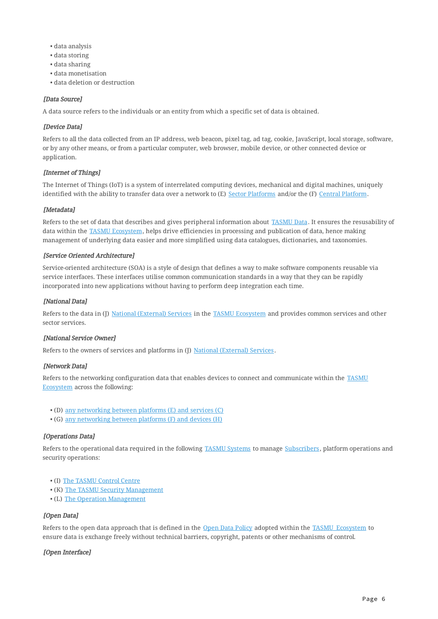- data analysis •
- data storing •
- data sharing •
- data monetisation •
- data deletion or destruction •

#### <span id="page-5-6"></span>[Data Source]

A data source refers to the individuals or an entity from which a specific set of data is obtained.

#### <span id="page-5-1"></span>[Device Data]

Refers to all the data collected from an IP address, web beacon, pixel tag, ad tag, cookie, JavaScript, local storage, software, or by any other means, or from a particular computer, web browser, mobile device, or other connected device or application.

## <span id="page-5-5"></span>[Internet of Things]

The Internet of Things (IoT) is a system of interrelated computing devices, mechanical and digital machines, uniquely identified with the ability to transfer data over a network to (E) [Sector Platforms](#page-8-1) and/or the (F) [Central Platform](#page-8-1).

#### <span id="page-5-9"></span>[Metadata]

Refers to the set of data that describes and gives peripheral information about [TASMU Data](#page-6-3). It ensures the resusability of data within the [TASMU Ecosystem,](#page-7-0) helps drive efficiencies in processing and publication of data, hence making management of underlying data easier and more simplified using data catalogues, dictionaries, and taxonomies.

#### <span id="page-5-10"></span>[Service Oriented Architecture]

Service-oriented architecture (SOA) is a style of design that defines a way to make software components reusable via service interfaces. These interfaces utilise common communication standards in a way that they can be rapidly incorporated into new applications without having to perform deep integration each time.

## <span id="page-5-4"></span>[National Data]

Refers to the data in (J) [National \(External\) Services](#page-8-1) in the [TASMU Ecosystem](#page-7-0) and provides common services and other sector services.

## <span id="page-5-0"></span>[National Service Owner]

Refers to the owners of services and platforms in (J) [National \(External\) Services](#page-8-1).

#### <span id="page-5-2"></span>[Network Data]

Refers to the networking configuration data that enables devices to connect and communicate within the [TASMU](#page-7-0) [Ecosystem](#page-7-0) across the following:

- (D) [any networking between platforms \(E\) and services \(C\)](#page-8-1) •
- (G) [any networking between platforms \(F\) and devices \(H\)](#page-8-1) •

#### <span id="page-5-3"></span>[Operations Data]

Refers to the operational data required in the following [TASMU Systems](#page-7-4) to manage [Subscribers,](#page-6-0) platform operations and security operations:

- (I) [The TASMU Control Centre](#page-8-1)
- (K) <u>[The TASMU Security Management](#page-8-1)</u>
- (L) [The Operation Management](#page-8-1)

#### <span id="page-5-7"></span>[Open Data]

Refers to the open data approach that is defined in the [Open Data Policy](#page-1-1) adopted within the [TASMU\\_Ecosystem](#page-7-0) to ensure data is exchange freely without technical barriers, copyright, patents or other mechanisms of control.

#### <span id="page-5-8"></span>[Open Interface]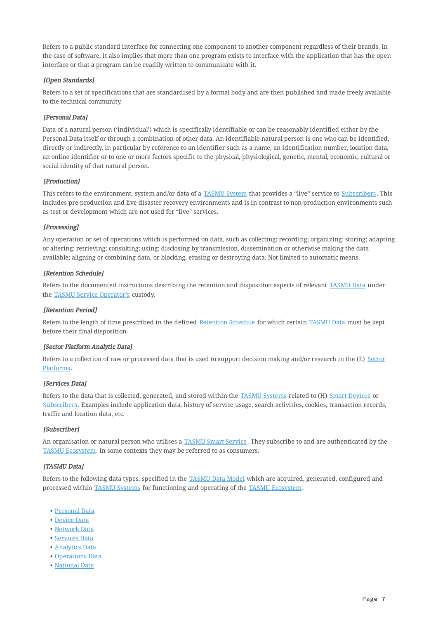Refers to a public standard interface for connecting one component to another component regardless of their brands. In the case of software, it also implies that more than one program exists to interface with the application that has the open interface or that a program can be readily written to communicate with it.

## <span id="page-6-6"></span>[Open Standards]

Refers to a set of specifications that are standardised by a formal body and are then published and made freely available to the technical community.

# <span id="page-6-1"></span>[Personal Data]

Data of a natural person ('individual') which is specifically identifiable or can be reasonably identified either by the Personal Data itself or through a combination of other data. An identifiable natural person is one who can be identified, directly or indirectly, in particular by reference to an identifier such as a name, an identification number, location data, an online identifier or to one or more factors specific to the physical, physiological, genetic, mental, economic, cultural or social identity of that natural person.

# <span id="page-6-9"></span>[Production]

This refers to the environment, system and/or data of a [TASMU System](#page-7-4) that provides a "live" service to [Subscribers.](#page-6-0) This includes pre-production and live disaster recovery environments and is in contrast to non-production environments such as test or development which are not used for "live" services.

# <span id="page-6-2"></span>[Processing]

Any operation or set of operations which is performed on data, such as collecting; recording; organizing; storing; adapting or altering; retrieving; consulting; using; disclosing by transmission, dissemination or otherwise making the data available; aligning or combining data, or blocking, erasing or destroying data. Not limited to automatic means.

## <span id="page-6-4"></span>[Retention Schedule]

Refers to the documented instructions describing the retention and disposition aspects of relevant [TASMU Data](#page-6-3) under the [TASMU Service Operator's](#page-7-5) custody.

## <span id="page-6-8"></span>[Retention Period]

Refers to the length of time prescribed in the defined [Retention Schedule](#page-6-4) for which certain [TASMU Data](#page-6-3) must be kept before their final disposition.

## <span id="page-6-7"></span>[Sector Platform Analytic Data]

Refers to a collection of raw or processed data that is used to support decision making and/or research in the (E) [Sector](#page-8-1) [Platforms](#page-8-1).

## <span id="page-6-5"></span>[Services Data]

Refers to the data that is collected, generated, and stored within the [TASMU Systems](#page-7-4) related to (H) [Smart Devices](#page-8-1) or [Subscribers](#page-6-0). Examples include application data, history of service usage, search activities, cookies, transaction records, traffic and location data, etc.

## <span id="page-6-0"></span>[Subscriber]

An organisation or natural person who utilises a [TASMU Smart Service](#page-7-1). They subscribe to and are authenticated by the [TASMU Ecosystem.](#page-7-0) In some contexts they may be referred to as consumers.

## <span id="page-6-3"></span>[TASMU Data]

Refers to the following data types, specified in the [TASMU Data Model](#page-9-0) which are acquired, generated, configured and processed within [TASMU Systems](#page-7-4) for functioning and operating of the [TASMU Ecosystem:](#page-7-0)

- <u>[Personal Data](#page-6-1)</u>
- <u>[Device Data](#page-5-1)</u>
- <u>[Network Data](#page-5-2)</u>
- <u>[Services Data](#page-6-5)</u>
- <u>[Analytics Data](#page-4-5)</u>
- [Operations Data](#page-5-3)
- <u>[National Data](#page-5-4)</u>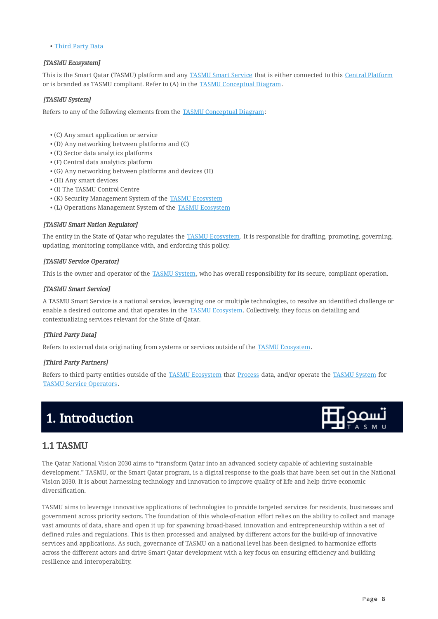• [Third Party Data](#page-7-7)

## <span id="page-7-0"></span>[TASMU Ecosystem]

This is the Smart Qatar (TASMU) platform and any [TASMU Smart Service](#page-7-1) that is either connected to this [Central Platform](#page-8-2) or is branded as TASMU compliant. Refer to (A) in the [TASMU Conceptual Diagram.](#page-8-1)

## <span id="page-7-4"></span>[TASMU System]

Refers to any of the following elements from the [TASMU Conceptual Diagram:](#page-8-1)

- (C) Any smart application or service •
- (D) Any networking between platforms and (C) •
- (E) Sector data analytics platforms •
- (F) Central data analytics platform •
- (G) Any networking between platforms and devices (H) •
- (H) Any smart devices •
- (I) The TASMU Control Centre •
- (K) Security Management System of the **TASMU Ecosystem**
- (L) Operations Management System of the <u>[TASMU Ecosystem](#page-7-0)</u>

#### <span id="page-7-8"></span>[TASMU Smart Nation Regulator]

The entity in the State of Qatar who regulates the [TASMU Ecosystem.](#page-7-0) It is responsible for drafting, promoting, governing, updating, monitoring compliance with, and enforcing this policy.

#### <span id="page-7-5"></span>[TASMU Service Operator]

This is the owner and operator of the [TASMU System](#page-7-4), who has overall responsibility for its secure, compliant operation.

#### <span id="page-7-1"></span>[TASMU Smart Service]

A TASMU Smart Service is a national service, leveraging one or multiple technologies, to resolve an identified challenge or enable a desired outcome and that operates in the [TASMU Ecosystem](#page-7-0). Collectively, they focus on detailing and contextualizing services relevant for the State of Qatar.

#### <span id="page-7-7"></span>[Third Party Data]

Refers to external data originating from systems or services outside of the [TASMU Ecosystem.](#page-7-0)

## <span id="page-7-6"></span>[Third Party Partners]

Refers to third party entities outside of the [TASMU Ecosystem](#page-7-0) that [Process](#page-6-2) data, and/or operate the [TASMU System](#page-7-4) for [TASMU Service Operators](#page-7-5) .

# <span id="page-7-2"></span>1. Introduction

# <span id="page-7-3"></span>1.1 TASMU

The Qatar National Vision 2030 aims to "transform Qatar into an advanced society capable of achieving sustainable development." TASMU, or the Smart Qatar program, is a digital response to the goals that have been set out in the National Vision 2030. It is about harnessing technology and innovation to improve quality of life and help drive economic diversification.

TASMU aims to leverage innovative applications of technologies to provide targeted services for residents, businesses and government across priority sectors. The foundation of this whole-of-nation effort relies on the ability to collect and manage vast amounts of data, share and open it up for spawning broad-based innovation and entrepreneurship within a set of defined rules and regulations. This is then processed and analysed by different actors for the build-up of innovative services and applications. As such, governance of TASMU on a national level has been designed to harmonize efforts across the different actors and drive Smart Qatar development with a key focus on ensuring efficiency and building resilience and interoperability.



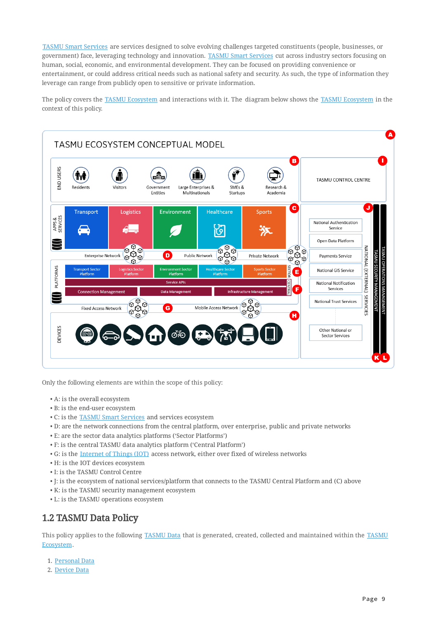[TASMU Smart Services](#page-7-1) are services designed to solve evolving challenges targeted constituents (people, businesses, or government) face, leveraging technology and innovation. [TASMU Smart Services](#page-7-1) cut across industry sectors focusing on human, social, economic, and environmental development. They can be focused on providing convenience or entertainment, or could address critical needs such as national safety and security. As such, the type of information they leverage can range from publicly open to sensitive or private information.

<span id="page-8-1"></span>The policy covers the [TASMU Ecosystem](#page-7-0) and interactions with it. The diagram below shows the [TASMU Ecosystem](#page-7-0) in the context of this policy.

<span id="page-8-2"></span>

Only the following elements are within the scope of this policy:

- A: is the overall ecosystem •
- B: is the end-user ecosystem •
- C: is the **TASMU Smart Services** and services ecosystem
- D: are the network connections from the central platform, over enterprise, public and private networks •
- E: are the sector data analytics platforms ('Sector Platforms') •
- F: is the central TASMU data analytics platform ('Central Platform') •
- $\bullet$  G: is the <u>[Internet of Things \(IOT\)](#page-5-5)</u> access network, either over fixed of wireless networks
- H: is the IOT devices ecosystem •
- I: is the TASMU Control Centre •
- $\bullet$  J: is the ecosystem of national services/platform that connects to the TASMU Central Platform and (C) above
- K: is the TASMU security management ecosystem
- L: is the TASMU operations ecosystem •

# <span id="page-8-0"></span>1.2 TASMU Data Policy

This policy applies to the following [TASMU Data](#page-6-3) that is generated, created, collected and maintained within the [TASMU](#page-7-0) [Ecosystem](#page-7-0).

- 1. <u>[Personal Data](#page-6-1)</u>
- 2. <u>[Device Data](#page-5-1)</u>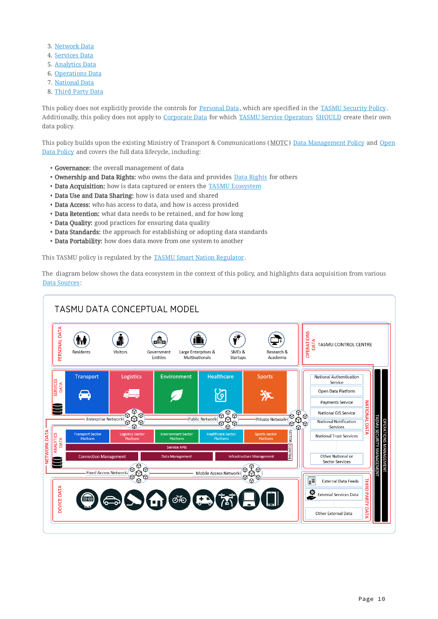- 3. <u>[Network Data](#page-5-2)</u>
- 4. <u>[Services Data](#page-6-5)</u>
- 5. <u>[Analytics Data](#page-4-5)</u>
- 6. <u>[Operations Data](#page-5-3)</u>
- 7. <u>[National Data](#page-5-4)</u>
- 8. <u>[Third Party Data](#page-7-7)</u>

This policy does not explicitly provide the controls for [Personal Data,](#page-6-1) which are specified in the [TASMU Security Policy](#page-2-0). Additionally, this policy does not apply to [Corporate Data](#page-4-6) for which [TASMU Service Operators](#page-7-5) [SHOULD](#page-1-2) create their own data policy.

This policy builds upon the existing Ministry of Transport & Communications (MOTC) [Data Management Policy](#page-1-3) and [Open](#page-1-1) [Data Policy](#page-1-1) and covers the full data lifecycle, including:

- Governance: the overall management of data
- **Ownership and [Data Rights](#page-4-2):** who owns the data and provides <u>Data Rights</u> for others
- Data Acquisition: how is data captured or enters the <u>[TASMU Ecosystem](#page-7-0)</u>
- Data Use and Data Sharing: how is data used and shared
- Data Access: who has access to data, and how is access provided
- Data Retention: what data needs to be retained, and for how long
- Data Quality: good practices for ensuring data quality
- Data Standards: the approach for establishing or adopting data standards
- Data Portability: how does data move from one system to another

This TASMU policy is regulated by the [TASMU Smart Nation Regulator.](#page-7-8)

<span id="page-9-0"></span>The diagram below shows the data ecosystem in the context of this policy, and highlights data acquisition from various [Data Sources:](#page-5-6)

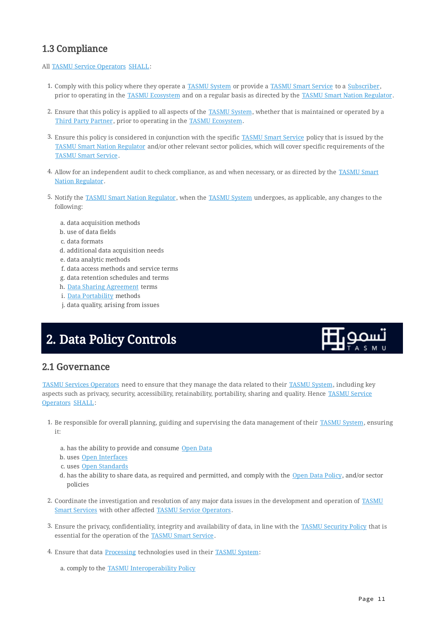# <span id="page-10-0"></span>1.3 Compliance

# All [TASMU Service Operators](#page-7-5) [SHALL](#page-0-5):

- 1. Comply with this policy where they operate a [TASMU System](#page-7-4) or provide a [TASMU Smart Service](#page-7-1) to a [Subscriber](#page-6-0), prior to operating in the [TASMU Ecosystem](#page-7-0) and on a regular basis as directed by the [TASMU Smart Nation Regulator.](#page-7-8)
- 2. Ensure that this policy is applied to all aspects of the <u>[TASMU System](#page-7-4),</u> whether that is maintained or operated by a [Third Party Partner](#page-7-6), prior to operating in the [TASMU Ecosystem.](#page-7-0)
- 3. Ensure this policy is considered in conjunction with the specific [TASMU Smart Service](#page-7-1) policy that is issued by the [TASMU Smart Nation Regulator](#page-7-8) and/or other relevant sector policies, which will cover specific requirements of the [TASMU Smart Service](#page-7-1).
- 4. Allow for an independent audit to check compliance, as and when necessary, or as directed by the <u>[TASMU Smart](#page-7-8)</u> [Nation Regulator](#page-7-8).
- 5. Notify the <u>[TASMU Smart Nation Regulator,](#page-7-8)</u> when the [TASMU System](#page-7-4) undergoes, as applicable, any changes to the following:
	- a. data acquisition methods
	- b. use of data fields
	- c. data formats
	- d. additional data acquisition needs
	- e. data analytic methods
	- f. data access methods and service terms
	- g. data retention schedules and terms
	- h. <u>[Data Sharing Agreement](#page-4-7)</u> terms
	- i. <u>Data Portability</u> methods
	- j. data quality, arising from issues

# <span id="page-10-1"></span>2. Data Policy Controls



# <span id="page-10-2"></span>2.1 Governance

[TASMU Services Operators](#page-7-5) need to ensure that they manage the data related to their [TASMU System](#page-7-4), including key aspects such as privacy, security, accessibility, retainability, portability, sharing and quality. Hence [TASMU Service](#page-7-5) [Operators](#page-7-5) [SHALL](#page-0-5):

- 1. Be responsible for overall planning, guiding and supervising the data management of their [TASMU System](#page-7-4), ensuring it:
	- a. has the ability to provide and consume <u>[Open Data](#page-5-7)</u>
	- b. uses <u>Open Interfaces</u>
	- c. uses <u>Open Standards</u>
	- d. has the ability to share data, as required and permitted, and comply with the <u>[Open Data Policy](#page-1-1)</u>, and/or sector policies
- 2. Coordinate the investigation and resolution of any major data issues in the development and operation of [TASMU](#page-7-1) [Smart Services](#page-7-1) with other affected [TASMU Service Operators](#page-7-5).
- 3. Ensure the privacy, confidentiality, integrity and availability of data, in line with the <u>[TASMU Security Policy](#page-2-0)</u> that is essential for the operation of the [TASMU Smart Service](#page-7-1).
- 4. Ensure that data <u>Processin</u>g technologies used in their <u>[TASMU System](#page-7-4)</u>:
	- a. comply to the <u>[TASMU Interoperability Policy](#page-2-1)</u>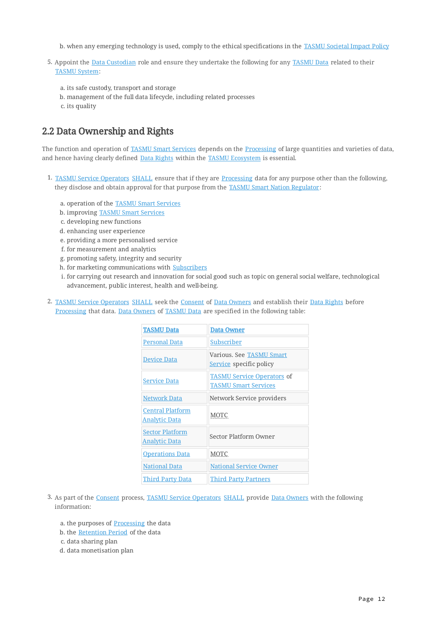- b. when any emerging technology is used, comply to the ethical specifications in the <u>[TASMU Societal Impact Policy](#page-2-1)</u>
- 5. Appoint the [Data Custodian](#page-4-4) role and ensure they undertake the following for any [TASMU Data](#page-6-3) related to their [TASMU System](#page-7-4):
	- a. its safe custody, transport and storage
	- management of the full data lifecycle, including related processes b.
	- c. its quality

# <span id="page-11-0"></span>2.2 Data Ownership and Rights

The function and operation of [TASMU Smart Services](#page-7-1) depends on the [Processing](#page-6-2) of large quantities and varieties of data, and hence having clearly defined [Data Rights](#page-4-2) within the [TASMU Ecosystem](#page-7-0) is essential.

- 1. [TASMU Service Operators](#page-7-5) [SHALL](#page-0-5) ensure that if they are [Processing](#page-6-2) data for any purpose other than the following, they disclose and obtain approval for that purpose from the [TASMU Smart Nation Regulator:](#page-7-8)
	- a. operation of the **[TASMU Smart Services](#page-7-1)**
	- b. improving <u>TASMU Smart Services</u>
	- c. developing new functions
	- d. enhancing user experience
	- e. providing a more personalised service
	- f. for measurement and analytics
	- g. promoting safety, integrity and security
	- h. for marketing communications with <u>[Subscribers](#page-6-0)</u>
	- i. for carrying out research and innovation for social good such as topic on general social welfare, technological advancement, public interest, health and well-being.
- 2. [TASMU Service Operators](#page-7-5) [SHALL](#page-0-5) seek the [Consent](#page-4-8) of [Data Owners](#page-4-3) and establish their [Data Rights](#page-4-2) before [Processing](#page-6-2) that data. [Data Owners](#page-4-3) of [TASMU Data](#page-6-3) are specified in the following table:

| <b>TASMU Data</b>                        | <b>Data Owner</b>                                                |
|------------------------------------------|------------------------------------------------------------------|
| Personal Data                            | Subscriber                                                       |
| <b>Device Data</b>                       | Various. See TASMU Smart<br>Service specific policy              |
| <b>Service Data</b>                      | <b>TASMU Service Operators of</b><br><b>TASMU Smart Services</b> |
| <b>Network Data</b>                      | Network Service providers                                        |
| <b>Central Platform</b><br>Analytic Data | <b>MOTC</b>                                                      |
| <b>Sector Platform</b><br>Analytic Data  | Sector Platform Owner                                            |
| <b>Operations Data</b>                   | <b>MOTC</b>                                                      |
| National Data                            | <b>National Service Owner</b>                                    |
| <b>Third Party Data</b>                  | <b>Third Party Partners</b>                                      |

- 3. As part of the [Consent](#page-4-8) process, [TASMU Service Operators](#page-7-5) [SHALL](#page-0-5) provide [Data Owners](#page-4-3) with the following information:
	- a. the purposes of <u>Processin</u>g the data
	- b. the <u>[Retention Period](#page-6-8)</u> of the data
	- c. data sharing plan
	- d. data monetisation plan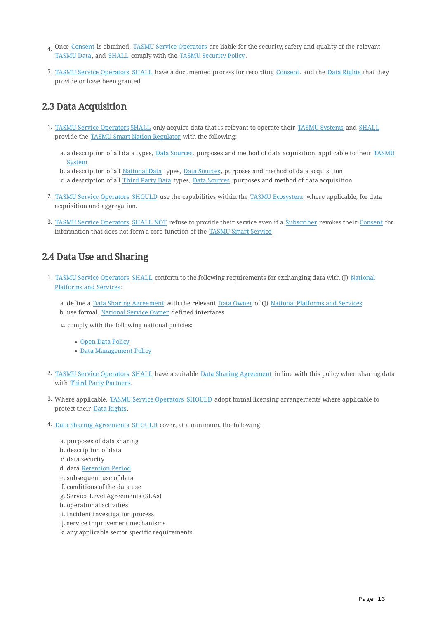- 4. Once <u>Consent</u> is obtained, <u>TASMU Service Operators</u> are liable for the security, safety and quality of the relevant [TASMU Data](#page-6-3), and [SHALL](#page-0-5) comply with the [TASMU Security Policy](#page-2-0).
- 5. [TASMU Service Operators](#page-7-5) [SHALL](#page-0-5) have a documented process for recording [Consent,](#page-4-8) and the [Data Rights](#page-4-2) that they provide or have been granted.

# <span id="page-12-0"></span>2.3 Data Acquisition

- 1. [TASMU Service Operators](#page-7-5) [SHALL](#page-0-5) only acquire data that is relevant to operate their [TASMU Systems](#page-7-4) and [SHALL](#page-0-5) provide the [TASMU Smart Nation Regulator](#page-7-8) with the following:
	- a. a description of all data types, <u>[Data Sources,](#page-5-6)</u> purposes and method of data acquisition, applicable to their <u>[TASMU](#page-7-4)</u> **[System](#page-7-4)**
	- b. a description of all <u>National Data</u> types, <u>[Data Sources,](#page-5-6)</u> purposes and method of data acquisition
	- c. a description of all <u>Third Party Data</u> types, <u>Data Sources</u>, purposes and method of data acquisition
- 2. <u>[TASMU Service Operators](#page-7-5)</u> [SHOULD](#page-1-2) use the capabilities within the [TASMU Ecosystem](#page-7-0), where applicable, for data acquisition and aggregation.
- 3. <u>[TASMU Service Operators](#page-7-5) SHALL NOT</u> refuse to provide their service even if a <u>Subscriber</u> revokes their <u>[Consent](#page-4-8)</u> for information that does not form a core function of the [TASMU Smart Service](#page-7-1).

# <span id="page-12-1"></span>2.4 Data Use and Sharing

- 1. [TASMU Service Operators](#page-7-5) [SHALL](#page-0-5) conform to the following requirements for exchanging data with (J) [National](#page-8-1) [Platforms and Services](#page-8-1):
	- a. define a <u>Data Sharing Agreement</u> with the relevant <u>Data Owner</u> of (J) <u>National Platforms and Services</u>
	- b. use formal, <u>National Service Owner</u> defined interfaces
	- c. comply with the following national policies:
		- <u>• [Open Data Policy](#page-1-1)</u>
		- <u> [Data Management Policy](#page-1-1)</u>
- 2. <u>[TASMU Service Operators](#page-7-5) [SHALL](#page-0-5)</u> have a suitable <u>[Data Sharing Agreement](#page-4-7)</u> in line with this policy when sharing data with [Third Party Partners](#page-7-6).
- 3. Where applicable, <u>[TASMU Service Operators](#page-7-5)</u> [SHOULD](#page-1-2) adopt formal licensing arrangements where applicable to protect their [Data Rights.](#page-4-2)
- 4. [Data Sharing Agreements](#page-4-7) [SHOULD](#page-1-2) cover, at a minimum, the following:
	- a. purposes of data sharing
	- b. description of data
	- c. data security
	- d. data <u>Retention Period</u>
	- e. subsequent use of data
	- f. conditions of the data use
	- g. Service Level Agreements (SLAs)
	- h. operational activities
	- i. incident investigation process
	- j. service improvement mechanisms
	- k. any applicable sector specific requirements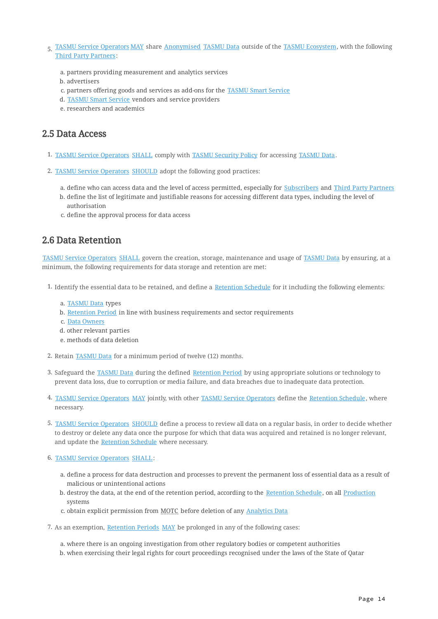- 5. <u>[TASMU Service Operators](#page-7-5) MAY</u> share <u>Anonymised [TASMU Data](#page-6-3)</u> outside of the <u>[TASMU Ecosystem,](#page-7-0)</u> with the following [Third Party Partners](#page-7-6):
	- a. partners providing measurement and analytics services
	- b. advertisers
	- c. partners offering goods and services as add-ons for the **TASMU Smart Service**
	- d. <u>[TASMU Smart Service](#page-7-1)</u> vendors and service providers
	- e. researchers and academics

# <span id="page-13-0"></span>2.5 Data Access

- 1. [TASMU Service Operators](#page-7-5) [SHALL](#page-0-5) comply with [TASMU Security Policy](#page-2-0) for accessing [TASMU Data](#page-6-3).
- 2. [TASMU Service Operators](#page-7-5) [SHOULD](#page-1-2) adopt the following good practices:
	- a. define who can access data and the level of access permitted, especially for <u>Subscribers</u> and <u>Third Party Partners</u>
	- b. define the list of legitimate and justifiable reasons for accessing different data types, including the level of authorisation
	- c. define the approval process for data access

# <span id="page-13-1"></span>2.6 Data Retention

[TASMU Service Operators](#page-7-5) [SHALL](#page-0-5) govern the creation, storage, maintenance and usage of [TASMU Data](#page-6-3) by ensuring, at a minimum, the following requirements for data storage and retention are met:

- 1. Identify the essential data to be retained, and define a [Retention Schedule](#page-6-4) for it including the following elements:
	- a. <u>[TASMU Data](#page-6-3)</u> types
	- b. <u>[Retention Period](#page-6-8)</u> in line with business requirements and sector requirements
	- c. <u>[Data Owners](#page-4-3)</u>
	- d. other relevant parties
	- methods of data deletion e.
- 2. Retain **TASMU Data** for a minimum period of twelve (12) months.
- 3. Safeguard the <u>TASMU Data</u> during the defined <u>Retention Period</u> by using appropriate solutions or technology to prevent data loss, due to corruption or media failure, and data breaches due to inadequate data protection.
- 4. <u>[TASMU Service Operators](#page-7-5) MAY</u> jointly, with other <u>TASMU Service Operators</u> define the <u>[Retention Schedule](#page-6-4),</u> where necessary.
- 5. <u>[TASMU Service Operators](#page-7-5)</u> [SHOULD](#page-1-2) define a process to review all data on a regular basis, in order to decide whether to destroy or delete any data once the purpose for which that data was acquired and retained is no longer relevant, and update the [Retention Schedule](#page-6-4) where necessary.
- 6. [TASMU Service Operators](#page-7-5) [SHALL](#page-0-5):
	- a. define a process for data destruction and processes to prevent the permanent loss of essential data as a result of malicious or unintentional actions
	- b. destroy the data, at the end of the retention period, according to the <u>[Retention Schedule](#page-6-4),</u> on all <u>[Production](#page-6-9)</u> systems
	- c. obtain explicit permission from <u>MOTC</u> before deletion of any <u>[Analytics Data](#page-4-5)</u>
- 7. As an exemption, [Retention Periods](#page-6-8) [MAY](#page-1-4) be prolonged in any of the following cases:
	- a. where there is an ongoing investigation from other regulatory bodies or competent authorities
	- b. when exercising their legal rights for court proceedings recognised under the laws of the State of Qatar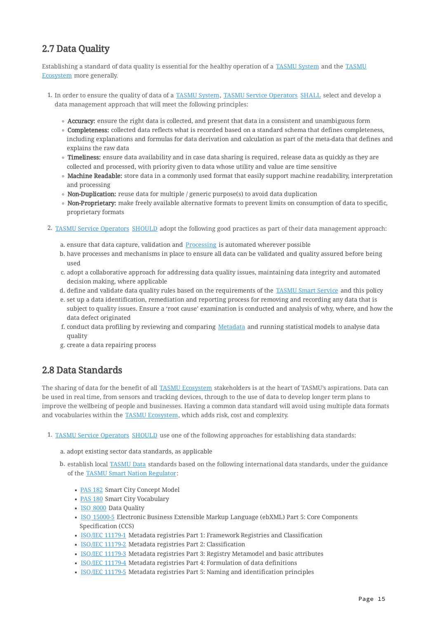# <span id="page-14-0"></span>2.7 Data Quality

Establishing a standard of data quality is essential for the healthy operation of a [TASMU System](#page-7-4) and the [TASMU](#page-7-0) [Ecosystem](#page-7-0) more generally.

- 1. In order to ensure the quality of data of a [TASMU System,](#page-7-4) [TASMU Service Operators](#page-7-5) [SHALL](#page-0-5) select and develop a data management approach that will meet the following principles:
	- Accuracy: ensure the right data is collected, and present that data in a consistent and unambiguous form
	- **Completeness:** collected data reflects what is recorded based on a standard schema that defines completeness, including explanations and formulas for data derivation and calculation as part of the meta-data that defines and explains the raw data
	- **Timeliness:** ensure data availability and in case data sharing is required, release data as quickly as they are collected and processed, with priority given to data whose utility and value are time sensitive
	- Machine Readable: store data in a commonly used format that easily support machine readability, interpretation and processing
	- **Non-Duplication:** reuse data for multiple / generic purpose(s) to avoid data duplication
	- Non-Proprietary: make freely available alternative formats to prevent limits on consumption of data to specific, proprietary formats
- 2. [TASMU Service Operators](#page-7-5) [SHOULD](#page-1-2) adopt the following good practices as part of their data management approach:
	- a. ensure that data capture, validation and <u>Processing</u> is automated wherever possible
	- b. have processes and mechanisms in place to ensure all data can be validated and quality assured before being used
	- c. adopt a collaborative approach for addressing data quality issues, maintaining data integrity and automated decision making, where applicable
	- d. define and validate data quality rules based on the requirements of the <u>TASMU Smart Service</u> and this policy
	- set up a data identification, remediation and reporting process for removing and recording any data that is e. subject to quality issues. Ensure a 'root cause' examination is conducted and analysis of why, where, and how the data defect originated
	- f. conduct data profiling by reviewing and comparing <u>[Metadata](#page-5-9)</u> and running statistical models to analyse data quality
	- g. create a data repairing process

# <span id="page-14-1"></span>2.8 Data Standards

The sharing of data for the benefit of all [TASMU Ecosystem](#page-7-0) stakeholders is at the heart of TASMU's aspirations. Data can be used in real time, from sensors and tracking devices, through to the use of data to develop longer term plans to improve the wellbeing of people and businesses. Having a common data standard will avoid using multiple data formats and vocabularies within the [TASMU Ecosystem,](#page-7-0) which adds risk, cost and complexity.

- 1. [TASMU Service Operators](#page-7-5) [SHOULD](#page-1-2) use one of the following approaches for establishing data standards:
	- a. adopt existing sector data standards, as applicable
	- b. establish local <u>[TASMU Data](#page-6-3)</u> standards based on the following international data standards, under the guidance of the [TASMU Smart Nation Regulator](#page-7-8):
		- [PAS 182](#page-2-2) Smart City Concept Model
		- [PAS 180](#page-2-3) Smart City Vocabulary
		- [ISO 8000](#page-1-5) Data Quality
		- [ISO 15000-5](#page-1-6) Electronic Business Extensible Markup Language (ebXML) Part 5: Core Components Specification (CCS)
		- [ISO/IEC 11179-1](#page-1-7) Metadata registries Part 1: Framework Registries and Classification
		- [ISO/IEC 11179-2](#page-1-8) Metadata registries Part 2: Classification
		- **EXEC 11179-3** Metadata registries Part 3: Registry Metamodel and basic attributes
		- [ISO/IEC 11179-4](#page-1-10) Metadata registries Part 4: Formulation of data definitions
		- [ISO/IEC 11179-5](#page-1-11) Metadata registries Part 5: Naming and identification principles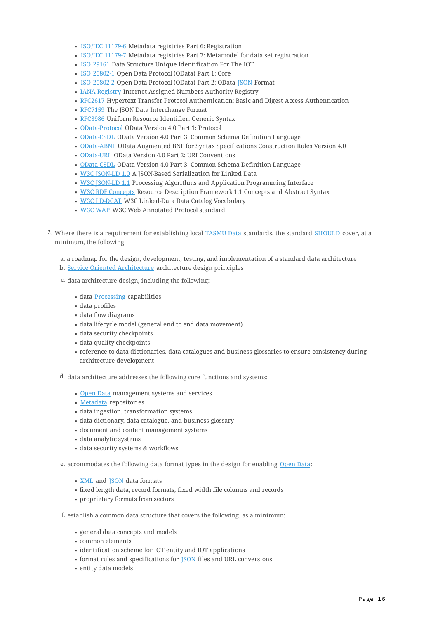- [ISO/IEC 11179-6](#page-1-12) Metadata registries Part 6: Registration
- **EXEC 11179-7 Metadata registries Part 7: Metamodel for data set registration**
- [ISO 29161](#page-1-14) Data Structure Unique Identification For The IOT
- [ISO 20802-1](#page-1-15) Open Data Protocol (OData) Part 1: Core
- [ISO 20802-2](#page-1-16) Open Data Protocol (OData) Part 2: OData [JSON](#page-1-17) Format
- **[IANA Registry](#page-1-18) Internet Assigned Numbers Authority Registry**
- [RFC2617](#page-2-4) Hypertext Transfer Protocol Authentication: Basic and Digest Access Authentication
- [RFC7159](#page-2-5) The JSON Data Interchange Format
- [RFC3986](#page-2-6) Uniform Resource Identifier: Generic Syntax
- [OData-Protocol](#page-2-7) OData Version 4.0 Part 1: Protocol
- [OData-CSDL](#page-2-8) OData Version 4.0 Part 3: Common Schema Definition Language
- . [OData-ABNF](#page-2-9) OData Augmented BNF for Syntax Specifications Construction Rules Version 4.0
- [OData-URL](#page-2-10) OData Version 4.0 Part 2: URI Conventions
- [OData-CSDL](#page-2-8) OData Version 4.0 Part 3: Common Schema Definition Language
- [W3C JSON-LD 1.0](#page-2-11) A JSON-Based Serialization for Linked Data
- W3C [SON-LD 1.1 Processing Algorithms and Application Programming Interface
- [W3C RDF Concepts](#page-2-13) Resource Description Framework 1.1 Concepts and Abstract Syntax
- [W3C LD-DCAT](#page-2-14) W3C Linked-Data Data Catalog Vocabulary
- [W3C WAP](#page-3-2) W3C Web Annotated Protocol standard
- 2. Where there is a requirement for establishing local [TASMU Data](#page-6-3) standards, the standard [SHOULD](#page-1-2) cover, at a minimum, the following:
	- a roadmap for the design, development, testing, and implementation of a standard data architecture a.
	- b. <u>[Service Oriented Architecture](#page-5-10)</u> architecture design principles
	- c. data architecture design, including the following:
		- data **Processing** capabilities
		- data profiles
		- data flow diagrams
		- data lifecycle model (general end to end data movement)
		- data security checkpoints
		- data quality checkpoints
		- reference to data dictionaries, data catalogues and business glossaries to ensure consistency during architecture development
	- d. data architecture addresses the following core functions and systems:
		- [Open Data](#page-5-7) management systems and services
		- [Metadata](#page-5-9) repositories
		- data ingestion, transformation systems
		- data dictionary, data catalogue, and business glossary
		- document and content management systems
		- data analytic systems ▪
		- data security systems & workflows

e. accommodates the following data format types in the design for enabling [Open Data:](#page-5-7)

- <u>XML</u> and **JSON** data formats
- fixed length data, record formats, fixed width file columns and records ▪
- proprietary formats from sectors ▪
- f. establish a common data structure that covers the following, as a minimum:
	- general data concepts and models ▪
	- common elements ▪
	- identification scheme for IOT entity and IOT applications
	- $\blacksquare$  format rules and specifications for **JSON** files and URL conversions
	- entity data models ▪